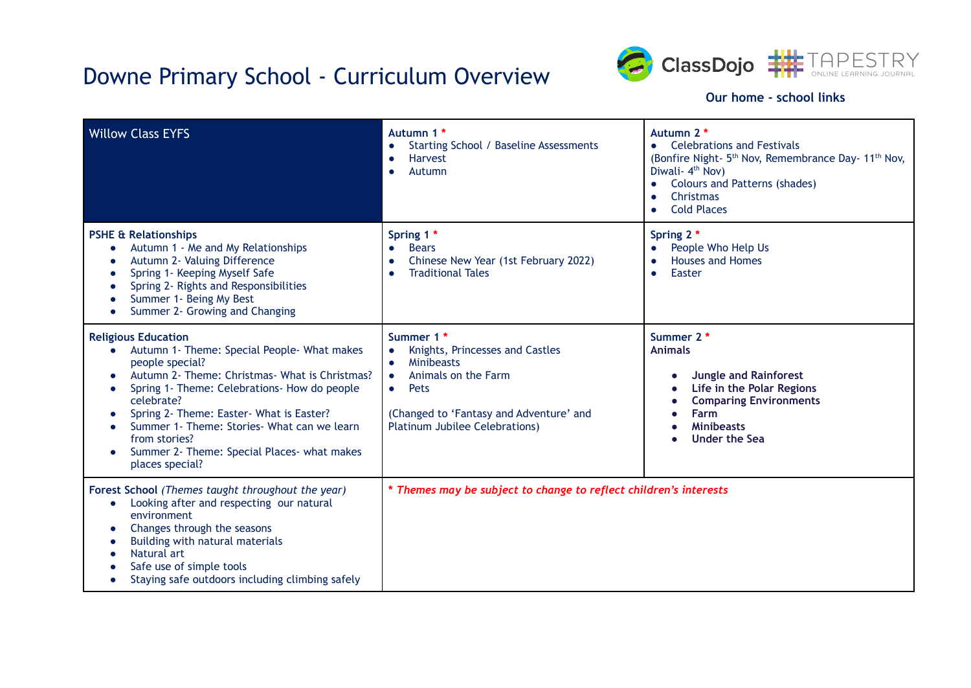## Downe Primary School - Curriculum Overview



### **Our home - school links**

| <b>Willow Class EYFS</b>                                                                                                                                                                                                                                                                                                                                                                                     | Autumn 1 *<br>Starting School / Baseline Assessments<br><b>Harvest</b><br>Autumn                                                                                                                   | Autumn 2 *<br><b>Celebrations and Festivals</b><br>$\bullet$<br>(Bonfire Night- 5 <sup>th</sup> Nov, Remembrance Day- 11 <sup>th</sup> Nov,<br>Diwali- 4 <sup>th</sup> Nov)<br><b>Colours and Patterns (shades)</b><br>Christmas<br><b>Cold Places</b> |
|--------------------------------------------------------------------------------------------------------------------------------------------------------------------------------------------------------------------------------------------------------------------------------------------------------------------------------------------------------------------------------------------------------------|----------------------------------------------------------------------------------------------------------------------------------------------------------------------------------------------------|--------------------------------------------------------------------------------------------------------------------------------------------------------------------------------------------------------------------------------------------------------|
| <b>PSHE &amp; Relationships</b><br>Autumn 1 - Me and My Relationships<br>Autumn 2- Valuing Difference<br>٠<br>Spring 1- Keeping Myself Safe<br>G<br>Spring 2- Rights and Responsibilities<br>Summer 1- Being My Best<br>Summer 2- Growing and Changing                                                                                                                                                       | Spring 1 *<br><b>Bears</b><br>Chinese New Year (1st February 2022)<br><b>Traditional Tales</b>                                                                                                     | Spring 2 *<br>People Who Help Us<br><b>Houses and Homes</b><br>Easter<br>$\bullet$                                                                                                                                                                     |
| <b>Religious Education</b><br>Autumn 1- Theme: Special People- What makes<br>people special?<br>Autumn 2- Theme: Christmas- What is Christmas?<br>$\bullet$<br>Spring 1- Theme: Celebrations- How do people<br>G<br>celebrate?<br>Spring 2- Theme: Easter- What is Easter?<br>Summer 1- Theme: Stories- What can we learn<br>from stories?<br>Summer 2- Theme: Special Places- what makes<br>places special? | Summer 1 *<br>Knights, Princesses and Castles<br><b>Minibeasts</b><br>Animals on the Farm<br>Pets<br>$\bullet$<br>(Changed to 'Fantasy and Adventure' and<br><b>Platinum Jubilee Celebrations)</b> | Summer 2 *<br><b>Animals</b><br><b>Jungle and Rainforest</b><br>Life in the Polar Regions<br><b>Comparing Environments</b><br>Farm<br><b>Minibeasts</b><br>Under the Sea<br>$\bullet$                                                                  |
| Forest School (Themes taught throughout the year)<br>Looking after and respecting our natural<br>$\bullet$<br>environment<br>Changes through the seasons<br>$\bullet$<br>Building with natural materials<br>Natural art<br>Safe use of simple tools<br>Staying safe outdoors including climbing safely                                                                                                       | * Themes may be subject to change to reflect children's interests                                                                                                                                  |                                                                                                                                                                                                                                                        |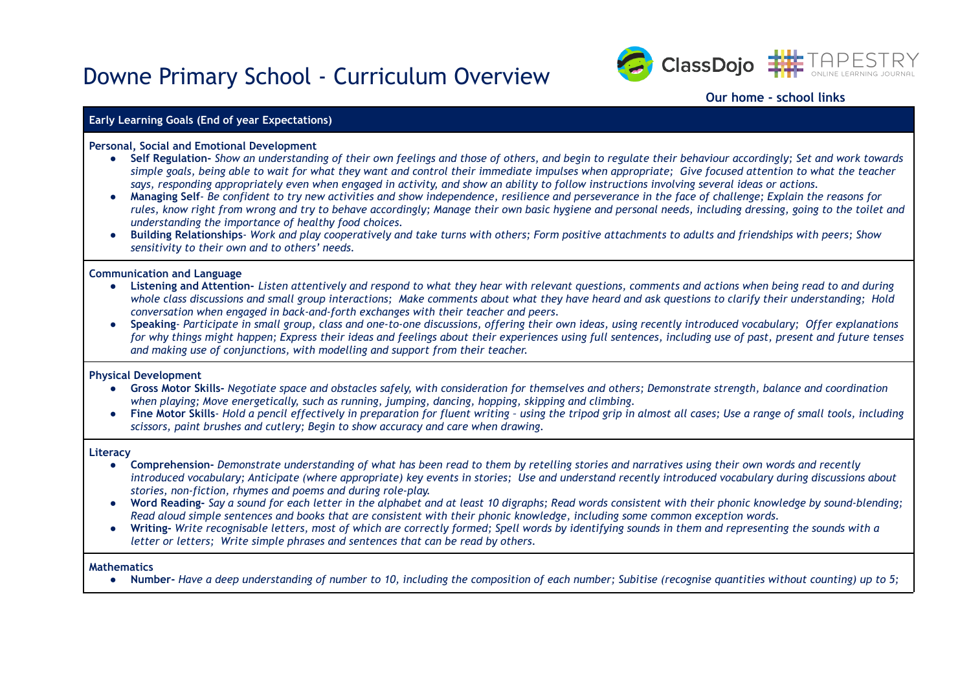### Downe Primary School - Curriculum Overview



#### **Our home - school links**

#### **Early Learning Goals (End of year Expectations)**

#### **Personal, Social and Emotional Development**

- Self Regulation- Show an understanding of their own feelings and those of others, and begin to regulate their behaviour accordingly; Set and work towards simple goals, being able to wait for what they want and control their immediate impulses when appropriate; Give focused attention to what the teacher says, responding appropriately even when engaged in activity, and show an ability to follow instructions involving several ideas or actions.
- Managing Self-Be confident to try new activities and show independence, resilience and perseverance in the face of challenge; Explain the reasons for rules, know right from wrong and try to behave accordingly: Manage their own basic hygiene and personal needs, including dressing, going to the toilet and *understanding the importance of healthy food choices.*
- Building Relationships- Work and play cooperatively and take turns with others; Form positive attachments to adults and friendships with peers; Show *sensitivity to their own and to others' needs.*

#### **Communication and Language**

- Listening and Attention- Listen attentively and respond to what they hear with relevant questions, comments and actions when being read to and during whole class discussions and small group interactions; Make comments about what they have heard and ask questions to clarify their understanding; Hold *conversation when engaged in back-and-forth exchanges with their teacher and peers.*
- Speaking-Participate in small group, class and one-to-one discussions, offering their own ideas, using recently introduced vocabulary; Offer explanations for why things might happen; Express their ideas and feelings about their experiences using full sentences, including use of past, present and future tenses *and making use of conjunctions, with modelling and support from their teacher.*

#### **Physical Development**

- Gross Motor Skills-Negotiate space and obstacles safely, with consideration for themselves and others: Demonstrate strength, balance and coordination *when playing; Move energetically, such as running, jumping, dancing, hopping, skipping and climbing.*
- Fine Motor Skills- Hold a pencil effectively in preparation for fluent writing using the tripod grip in almost all cases; Use a range of small tools, including *scissors, paint brushes and cutlery; Begin to show accuracy and care when drawing.*

#### **Literacy**

- Comprehension-Demonstrate understanding of what has been read to them by retelling stories and narratives using their own words and recently introduced vocabulary; Anticipate (where appropriate) key events in stories; Use and understand recently introduced vocabulary during discussions about *stories, non-fiction, rhymes and poems and during role-play.*
- Word Reading- Say a sound for each letter in the alphabet and at least 10 digraphs; Read words consistent with their phonic knowledge by sound-blending; Read aloud simple sentences and books that are consistent with their phonic knowledge, including some common exception words.
- Writing-Write recognisable letters, most of which are correctly formed; Spell words by identifying sounds in them and representing the sounds with a *letter or letters; Write simple phrases and sentences that can be read by others.*

#### **Mathematics**

• Number- Have a deep understanding of number to 10, including the composition of each number; Subitise (recognise quantities without counting) up to 5;